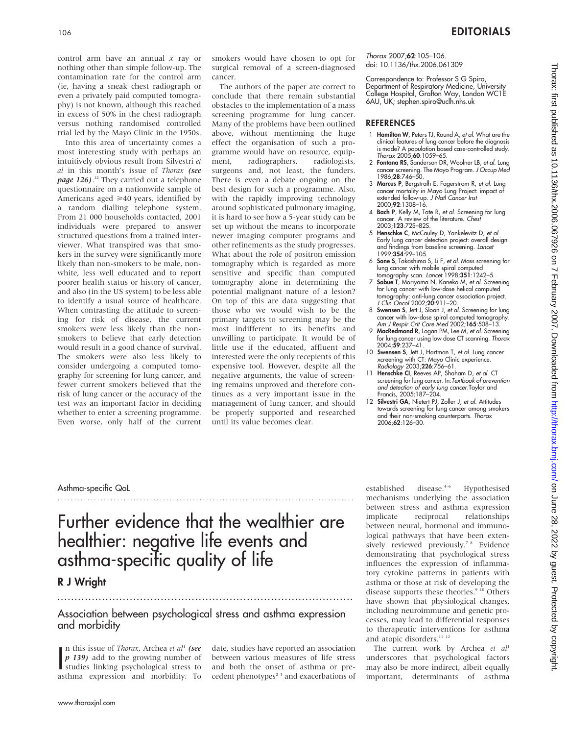control arm have an annual  $x$  ray or nothing other than simple follow-up. The contamination rate for the control arm (ie, having a sneak chest radiograph or even a privately paid computed tomography) is not known, although this reached in excess of 50% in the chest radiograph versus nothing randomised controlled trial led by the Mayo Clinic in the 1950s.

Into this area of uncertainty comes a most interesting study with perhaps an intuitively obvious result from Silvestri et al in this month's issue of Thorax (see page 126).<sup>12</sup> They carried out a telephone questionnaire on a nationwide sample of Americans aged  $\geq 40$  years, identified by a random dialling telephone system. From 21 000 households contacted, 2001 individuals were prepared to answer structured questions from a trained interviewer. What transpired was that smokers in the survey were significantly more likely than non-smokers to be male, nonwhite, less well educated and to report poorer health status or history of cancer, and also (in the US system) to be less able to identify a usual source of healthcare. When contrasting the attitude to screening for risk of disease, the current smokers were less likely than the nonsmokers to believe that early detection would result in a good chance of survival. The smokers were also less likely to consider undergoing a computed tomography for screening for lung cancer, and fewer current smokers believed that the risk of lung cancer or the accuracy of the test was an important factor in deciding whether to enter a screening programme. Even worse, only half of the current

smokers would have chosen to opt for surgical removal of a screen-diagnosed cancer.

The authors of the paper are correct to conclude that there remain substantial obstacles to the implementation of a mass screening programme for lung cancer. Many of the problems have been outlined above, without mentioning the huge effect the organisation of such a programme would have on resource, equipment, radiographers, radiologists, surgeons and, not least, the funders. There is even a debate ongoing on the best design for such a programme. Also, with the rapidly improving technology around sophisticated pulmonary imaging, it is hard to see how a 5-year study can be set up without the means to incorporate newer imaging computer programs and other refinements as the study progresses. What about the role of positron emission tomography which is regarded as more sensitive and specific than computed tomography alone in determining the potential malignant nature of a lesion? On top of this are data suggesting that those who we would wish to be the primary targets to screening may be the most indifferent to its benefits and unwilling to participate. It would be of little use if the educated, affluent and interested were the only recepients of this expensive tool. However, despite all the negative arguments, the value of screening remains unproved and therefore continues as a very important issue in the management of lung cancer, and should be properly supported and researched until its value becomes clear.

Thorax 2007;62:105–106. doi: 10.1136/thx.2006.061309

Correspondence to: Professor S G Spiro, Department of Respiratory Medicine, University College Hospital, Grafton Way, London WC1E 6AU, UK; stephen.spiro@uclh.nhs.uk

### REFERENCES

- 1 Hamilton W, Peters TJ, Round A, et al. What are the clinical features of lung cancer before the diagnosis is made? A population based case-controlled study.<br>*Thorax 2005;60:1059–65.*
- 2 Fontana RS, Sanderson DR, Woolner LB, et al. Lung cancer screening. The Mayo Program. *J Occup Med*<br>1986;**28**:746–50.
- 3 Marcus P, Bergstralh E, Fagerstrom R, et al. Lung cancer mortality in Mayo Lung Project: impact of extended follow-up. J Natl Cancer Inst 2000;92:1308–16.
- 4 Bach P, Kelly M, Tate R, et al. Screening for lung cancer. A review of the literature. Chest 2003;123:72S–82S.
- 5 Henschke C, McCauley D, Yankelevitz D, et al. Early lung cancer detection project: overall design and findings from baseline screening. Lancet 1999;354:99–105.
- 6 Sone S, Takashima S, Li F, et al. Mass screening for lung cancer with mobile spiral computed
- tomography scan. Lancet 1998;351:1242-5. 7 Sobue T, Moriyama N, Kaneko M, et al. Screening for lung cancer with low-dose helical computed tomography: anti-lung cancer association project. J Clin Oncol 2002;20:911-20.
- 8 Swensen S, Jett J, Sloan J, et al. Screening for lung cancer with low-dose spiral computed tomography.<br>Am J Respir Crit Care Med 2002;**165**:508–13.
- MacRedmond R, Logan PM, Lee M, et al. Screening for lung cancer using low dose CT scanning. Thorax 2004;59:237–41.
- 10 Swensen S, Jett J, Hartman T, et al. Lung cancer xcreening with CT: Mayo Clinic experience.<br>*Radiology* 2003;**226**:756–61.
- 11 Henschke CI, Reeves AP, Shaham D, et al. CT screening for lung cancer. In:Textbook of prevention and detection of early lung cancer.Taylor and Francis, 2005:187–204.
- 12 Silvestri GA, Nietert PJ, Zoller J, et al. Attitudes towards screening for lung cancer among smokers and their non-smoking counterparts. Thorax 2006;62:126–30.

### Asthma-specific QoL

Further evidence that the wealthier are healthier: negative life events and asthma-specific quality of life

..........................................................................................

# R J Wright

## Association between psychological stress and asthma expression and morbidity

......................................................................................

In this issue of *Thorax*, Archea et al. (see<br>  $\vec{p}$  139) add to the growing number of<br>
studies linking psychological stress to<br>
asthma expression and morbidity. To n this issue of *Thorax*, Archea et al<sup>1</sup> (see p 139) add to the growing number of asthma expression and morbidity. To

date, studies have reported an association between various measures of life stress and both the onset of asthma or precedent phenotypes<sup>23</sup> and exacerbations of established disease.<sup>4-6</sup> Hypothesised mechanisms underlying the association between stress and asthma expression implicate reciprocal relationships between neural, hormonal and immunological pathways that have been extensively reviewed previously.<sup>7 8</sup> Evidence demonstrating that psychological stress influences the expression of inflammatory cytokine patterns in patients with asthma or those at risk of developing the disease supports these theories.<sup>9 10</sup> Others have shown that physiological changes, including neuroimmune and genetic processes, may lead to differential responses to therapeutic interventions for asthma and atopic disorders.<sup>11 12</sup>

The current work by Archea et al<sup>1</sup> underscores that psychological factors may also be more indirect, albeit equally important, determinants of asthma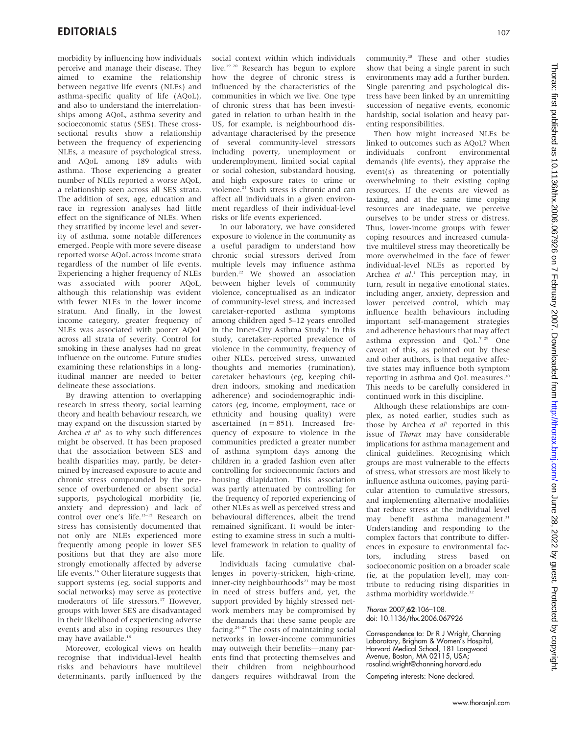morbidity by influencing how individuals perceive and manage their disease. They aimed to examine the relationship between negative life events (NLEs) and asthma-specific quality of life (AQoL), and also to understand the interrelationships among AQoL, asthma severity and socioeconomic status (SES). These crosssectional results show a relationship between the frequency of experiencing NLEs, a measure of psychological stress, and AQoL among 189 adults with asthma. Those experiencing a greater number of NLEs reported a worse AQoL, a relationship seen across all SES strata. The addition of sex, age, education and race in regression analyses had little effect on the significance of NLEs. When they stratified by income level and severity of asthma, some notable differences emerged. People with more severe disease reported worse AQoL across income strata regardless of the number of life events. Experiencing a higher frequency of NLEs was associated with poorer AQoL, although this relationship was evident with fewer NLEs in the lower income stratum. And finally, in the lowest income category, greater frequency of NLEs was associated with poorer AQoL across all strata of severity. Control for smoking in these analyses had no great influence on the outcome. Future studies examining these relationships in a longitudinal manner are needed to better delineate these associations.

By drawing attention to overlapping research in stress theory, social learning theory and health behaviour research, we may expand on the discussion started by Archea et  $al<sup>1</sup>$  as to why such differences might be observed. It has been proposed that the association between SES and health disparities may, partly, be determined by increased exposure to acute and chronic stress compounded by the presence of overburdened or absent social supports, psychological morbidity (ie, anxiety and depression) and lack of control over one's life.13–15 Research on stress has consistently documented that not only are NLEs experienced more frequently among people in lower SES positions but that they are also more strongly emotionally affected by adverse life events.<sup>16</sup> Other literature suggests that support systems (eg, social supports and social networks) may serve as protective moderators of life stressors.<sup>17</sup> However, groups with lower SES are disadvantaged in their likelihood of experiencing adverse events and also in coping resources they may have available.<sup>18</sup>

Moreover, ecological views on health recognise that individual-level health risks and behaviours have multilevel determinants, partly influenced by the

social context within which individuals live.<sup>19 20</sup> Research has begun to explore how the degree of chronic stress is influenced by the characteristics of the communities in which we live. One type of chronic stress that has been investigated in relation to urban health in the US, for example, is neighbourhood disadvantage characterised by the presence of several community-level stressors including poverty, unemployment or underemployment, limited social capital or social cohesion, substandard housing, and high exposure rates to crime or violence.<sup>21</sup> Such stress is chronic and can affect all individuals in a given environment regardless of their individual-level risks or life events experienced.

In our laboratory, we have considered exposure to violence in the community as a useful paradigm to understand how chronic social stressors derived from multiple levels may influence asthma burden.<sup>22</sup> We showed an association between higher levels of community violence, conceptualised as an indicator of community-level stress, and increased caretaker-reported asthma symptoms among children aged 5–12 years enrolled in the Inner-City Asthma Study.<sup>6</sup> In this study, caretaker-reported prevalence of violence in the community, frequency of other NLEs, perceived stress, unwanted thoughts and memories (rumination), caretaker behaviours (eg, keeping children indoors, smoking and medication adherence) and sociodemographic indicators (eg, income, employment, race or ethnicity and housing quality) were ascertained  $(n = 851)$ . Increased frequency of exposure to violence in the communities predicted a greater number of asthma symptom days among the children in a graded fashion even after controlling for socioeconomic factors and housing dilapidation. This association was partly attenuated by controlling for the frequency of reported experiencing of other NLEs as well as perceived stress and behavioural differences, albeit the trend remained significant. It would be interesting to examine stress in such a multilevel framework in relation to quality of life.

Individuals facing cumulative challenges in poverty-stricken, high-crime, inner-city neighbourhoods<sup>23</sup> may be most in need of stress buffers and, yet, the support provided by highly stressed network members may be compromised by the demands that these same people are facing.24–27 The costs of maintaining social networks in lower-income communities may outweigh their benefits—many parents find that protecting themselves and their children from neighbourhood dangers requires withdrawal from the community.<sup>28</sup> These and other studies show that being a single parent in such environments may add a further burden. Single parenting and psychological distress have been linked by an unremitting succession of negative events, economic hardship, social isolation and heavy parenting responsibilities.

Then how might increased NLEs be linked to outcomes such as AQoL? When<br>individuals confront environmental individuals confront environmental demands (life events), they appraise the event(s) as threatening or potentially overwhelming to their existing coping resources. If the events are viewed as taxing, and at the same time coping resources are inadequate, we perceive ourselves to be under stress or distress. Thus, lower-income groups with fewer coping resources and increased cumulative multilevel stress may theoretically be more overwhelmed in the face of fewer individual-level NLEs as reported by Archea et al.<sup>1</sup> This perception may, in turn, result in negative emotional states, including anger, anxiety, depression and lower perceived control, which may influence health behaviours including important self-management strategies and adherence behaviours that may affect asthma expression and QoL.7 29 One caveat of this, as pointed out by these and other authors, is that negative affective states may influence both symptom reporting in asthma and QoL measures.30 This needs to be carefully considered in continued work in this discipline.

Although these relationships are complex, as noted earlier, studies such as those by Archea et  $al<sup>1</sup>$  reported in this issue of Thorax may have considerable implications for asthma management and clinical guidelines. Recognising which groups are most vulnerable to the effects of stress, what stressors are most likely to influence asthma outcomes, paying particular attention to cumulative stressors, and implementing alternative modalities that reduce stress at the individual level may benefit asthma management.<sup>31</sup> Understanding and responding to the complex factors that contribute to differences in exposure to environmental factors, including stress based on socioeconomic position on a broader scale (ie, at the population level), may contribute to reducing rising disparities in asthma morbidity worldwide.<sup>32</sup>

Thorax 2007;62:106–108. doi: 10.1136/thx.2006.067926

Correspondence to: Dr R J Wright, Channing Laboratory, Brigham & Women's Hospital, Harvard Medical School, 181 Longwood Avenue, Boston, MA 02115, USA; rosalind.wright@channing.harvard.edu

Competing interests: None declared.